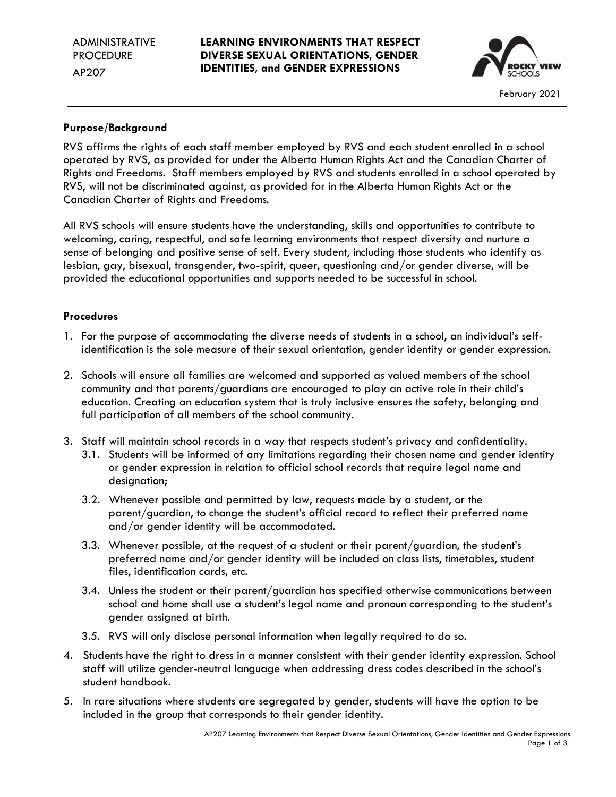## **LEARNING ENVIRONMENTS THAT RESPECT DIVERSE SEXUAL ORIENTATIONS, GENDER IDENTITIES, and GENDER EXPRESSIONS**



# **Purpose/Background**

RVS affirms the rights of each staff member employed by RVS and each student enrolled in a school operated by RVS, as provided for under the Alberta Human Rights Act and the Canadian Charter of Rights and Freedoms. Staff members employed by RVS and students enrolled in a school operated by RVS, will not be discriminated against, as provided for in the Alberta Human Rights Act or the Canadian Charter of Rights and Freedoms.

All RVS schools will ensure students have the understanding, skills and opportunities to contribute to welcoming, caring, respectful, and safe learning environments that respect diversity and nurture a sense of belonging and positive sense of self. Every student, including those students who identify as lesbian, gay, bisexual, transgender, two-spirit, queer, questioning and/or gender diverse, will be provided the educational opportunities and supports needed to be successful in school.

# **Procedures**

- 1. For the purpose of accommodating the diverse needs of students in a school, an individual's selfidentification is the sole measure of their sexual orientation, gender identity or gender expression.
- 2. Schools will ensure all families are welcomed and supported as valued members of the school community and that parents/guardians are encouraged to play an active role in their child's education. Creating an education system that is truly inclusive ensures the safety, belonging and full participation of all members of the school community.
- 3. Staff will maintain school records in a way that respects student's privacy and confidentiality.
	- 3.1. Students will be informed of any limitations regarding their chosen name and gender identity or gender expression in relation to official school records that require legal name and designation;
	- 3.2. Whenever possible and permitted by law, requests made by a student, or the parent/guardian, to change the student's official record to reflect their preferred name and/or gender identity will be accommodated.
	- 3.3. Whenever possible, at the request of a student or their parent/guardian, the student's preferred name and/or gender identity will be included on class lists, timetables, student files, identification cards, etc.
	- 3.4. Unless the student or their parent/guardian has specified otherwise communications between school and home shall use a student's legal name and pronoun corresponding to the student's gender assigned at birth.
	- 3.5. RVS will only disclose personal information when legally required to do so.
- 4. Students have the right to dress in a manner consistent with their gender identity expression. School staff will utilize gender-neutral language when addressing dress codes described in the school's student handbook.
- 5. In rare situations where students are segregated by gender, students will have the option to be included in the group that corresponds to their gender identity.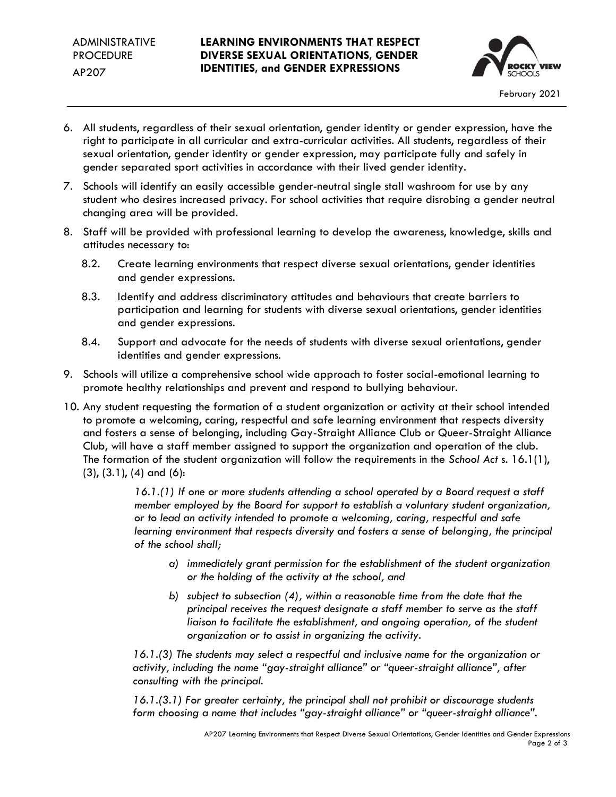## **LEARNING ENVIRONMENTS THAT RESPECT DIVERSE SEXUAL ORIENTATIONS, GENDER IDENTITIES, and GENDER EXPRESSIONS**



- 6. All students, regardless of their sexual orientation, gender identity or gender expression, have the right to participate in all curricular and extra-curricular activities. All students, regardless of their sexual orientation, gender identity or gender expression, may participate fully and safely in gender separated sport activities in accordance with their lived gender identity.
- 7. Schools will identify an easily accessible gender-neutral single stall washroom for use by any student who desires increased privacy. For school activities that require disrobing a gender neutral changing area will be provided.
- 8. Staff will be provided with professional learning to develop the awareness, knowledge, skills and attitudes necessary to:
	- 8.2. Create learning environments that respect diverse sexual orientations, gender identities and gender expressions.
	- 8.3. Identify and address discriminatory attitudes and behaviours that create barriers to participation and learning for students with diverse sexual orientations, gender identities and gender expressions.
	- 8.4. Support and advocate for the needs of students with diverse sexual orientations, gender identities and gender expressions.
- 9. Schools will utilize a comprehensive school wide approach to foster social-emotional learning to promote healthy relationships and prevent and respond to bullying behaviour.
- 10. Any student requesting the formation of a student organization or activity at their school intended to promote a welcoming, caring, respectful and safe learning environment that respects diversity and fosters a sense of belonging, including Gay-Straight Alliance Club or Queer-Straight Alliance Club, will have a staff member assigned to support the organization and operation of the club. The formation of the student organization will follow the requirements in the *School Act* s. 16.1(1), (3), (3.1), (4) and (6):

*16.1.(1) If one or more students attending a school operated by a Board request a staff member employed by the Board for support to establish a voluntary student organization, or to lead an activity intended to promote a welcoming, caring, respectful and safe learning environment that respects diversity and fosters a sense of belonging, the principal of the school shall;*

- *a) immediately grant permission for the establishment of the student organization or the holding of the activity at the school, and*
- *b) subject to subsection (4), within a reasonable time from the date that the principal receives the request designate a staff member to serve as the staff liaison to facilitate the establishment, and ongoing operation, of the student organization or to assist in organizing the activity.*

*16.1.(3) The students may select a respectful and inclusive name for the organization or activity, including the name "gay-straight alliance" or "queer-straight alliance", after consulting with the principal.*

*16.1.(3.1) For greater certainty, the principal shall not prohibit or discourage students form choosing a name that includes "gay-straight alliance" or "queer-straight alliance".*